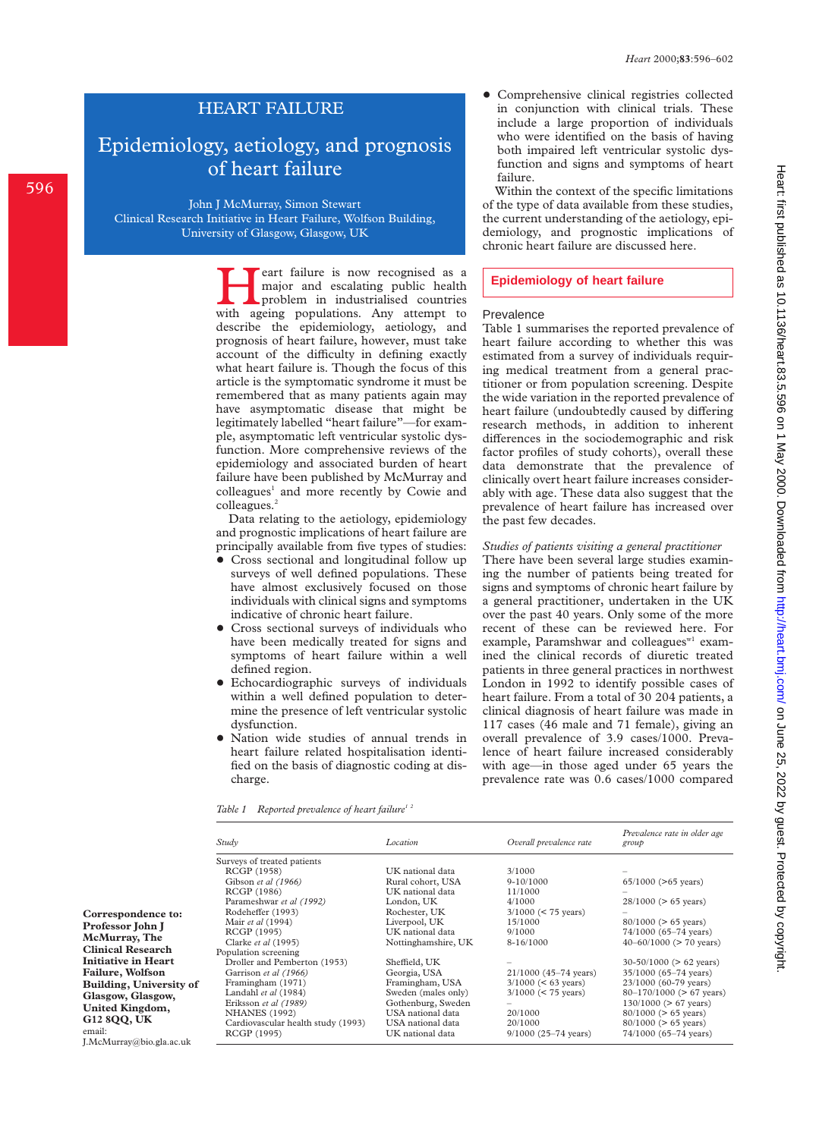## HEART FAILURE

# Epidemiology, aetiology, and prognosis of heart failure

John J McMurray, Simon Stewart Clinical Research Initiative in Heart Failure, Wolfson Building, University of Glasgow, Glasgow, UK

> **Heart failure is now recognised as a** major and escalating public health<br>problem in industrialised countries<br>with ageing populations. Any attempt to major and escalating public health problem in industrialised countries with ageing populations. Any attempt to describe the epidemiology, aetiology, and prognosis of heart failure, however, must take account of the difficulty in defining exactly what heart failure is. Though the focus of this article is the symptomatic syndrome it must be remembered that as many patients again may have asymptomatic disease that might be legitimately labelled "heart failure"—for example, asymptomatic left ventricular systolic dysfunction. More comprehensive reviews of the epidemiology and associated burden of heart failure have been published by McMurray and colleagues<sup>1</sup> and more recently by Cowie and colleagues.<sup>2</sup>

> Data relating to the aetiology, epidemiology and prognostic implications of heart failure are principally available from five types of studies:

- + Cross sectional and longitudinal follow up surveys of well defined populations. These have almost exclusively focused on those individuals with clinical signs and symptoms indicative of chronic heart failure.
- Cross sectional surveys of individuals who have been medically treated for signs and symptoms of heart failure within a well defined region.
- Echocardiographic surveys of individuals within a well defined population to determine the presence of left ventricular systolic dysfunction.
- Nation wide studies of annual trends in heart failure related hospitalisation identified on the basis of diagnostic coding at discharge.

+ Comprehensive clinical registries collected in conjunction with clinical trials. These include a large proportion of individuals who were identified on the basis of having both impaired left ventricular systolic dysfunction and signs and symptoms of heart failure.

Within the context of the specific limitations of the type of data available from these studies, the current understanding of the aetiology, epidemiology, and prognostic implications of chronic heart failure are discussed here.

## **Epidemiology of heart failure**

## Prevalence

Table 1 summarises the reported prevalence of heart failure according to whether this was estimated from a survey of individuals requiring medical treatment from a general practitioner or from population screening. Despite the wide variation in the reported prevalence of heart failure (undoubtedly caused by differing research methods, in addition to inherent differences in the sociodemographic and risk factor profiles of study cohorts), overall these data demonstrate that the prevalence of clinically overt heart failure increases considerably with age. These data also suggest that the prevalence of heart failure has increased over the past few decades.

## *Studies of patients visiting a general practitioner*

There have been several large studies examining the number of patients being treated for signs and symptoms of chronic heart failure by a general practitioner, undertaken in the UK over the past 40 years. Only some of the more recent of these can be reviewed here. For example, Paramshwar and colleagues $w_1$  examined the clinical records of diuretic treated patients in three general practices in northwest London in 1992 to identify possible cases of heart failure. From a total of 30 204 patients, a clinical diagnosis of heart failure was made in 117 cases (46 male and 71 female), giving an overall prevalence of 3.9 cases/1000. Prevalence of heart failure increased considerably with age—in those aged under 65 years the prevalence rate was 0.6 cases/1000 compared

| Table 1<br>Reported prevalence of heart failure <sup><math>12</math></sup> |
|----------------------------------------------------------------------------|
|----------------------------------------------------------------------------|

**Correspondence to: Professor John J McMurray, The Clinical Research Initiative in Heart Failure, Wolfson Building, University of Glasgow, Glasgow, United Kingdom, G12 8QQ, UK** email: J.McMurray@bio.gla.ac.uk

| Study<br>Location                  |                     | Overall prevalence rate | Prevalence rate in older age<br>group |  |
|------------------------------------|---------------------|-------------------------|---------------------------------------|--|
| Surveys of treated patients        |                     |                         |                                       |  |
| RCGP (1958)                        | UK national data    | 3/1000                  |                                       |  |
| Gibson et al (1966)                | Rural cohort, USA   | $9 - 10/1000$           | $65/1000$ ( $>65$ years)              |  |
| RCGP (1986)                        | UK national data    | 11/1000                 |                                       |  |
| Parameshwar et al (1992)           | London, UK          | 4/1000                  | $28/1000$ ( $> 65$ years)             |  |
| Rodeheffer (1993)                  | Rochester, UK       | $3/1000 \le 75$ years)  |                                       |  |
| Mair et al (1994)                  | Liverpool, UK       | 15/1000                 | $80/1000$ ( $> 65$ years)             |  |
| RCGP (1995)                        | UK national data    | 9/1000                  | 74/1000 (65–74 years)                 |  |
| Clarke et al (1995)                | Nottinghamshire, UK | $8-16/1000$             | $40-60/1000$ (> 70 years)             |  |
| Population screening               |                     |                         |                                       |  |
| Droller and Pemberton (1953)       | Sheffield, UK       |                         | $30-50/1000$ (> 62 years)             |  |
| Garrison et al (1966)              | Georgia, USA        | $21/1000$ (45–74 years) | 35/1000 (65–74 years)                 |  |
| Framingham (1971)                  | Framingham, USA     | $3/1000 \le 63$ years)  | 23/1000 (60-79 years)                 |  |
| Landahl et al (1984)               | Sweden (males only) | $3/1000$ (< 75 years)   | $80-170/1000$ (> 67 years)            |  |
| Eriksson et al (1989)              | Gothenburg, Sweden  |                         | $130/1000$ (> 67 years)               |  |
| <b>NHANES</b> (1992)               | USA national data   | 20/1000                 | $80/1000$ (> 65 years)                |  |
| Cardiovascular health study (1993) | USA national data   | 20/1000                 | $80/1000$ ( $> 65$ years)             |  |
| RCGP (1995)                        | UK national data    | $9/1000$ (25–74 years)  | 74/1000 (65-74 years)                 |  |
|                                    |                     |                         |                                       |  |

596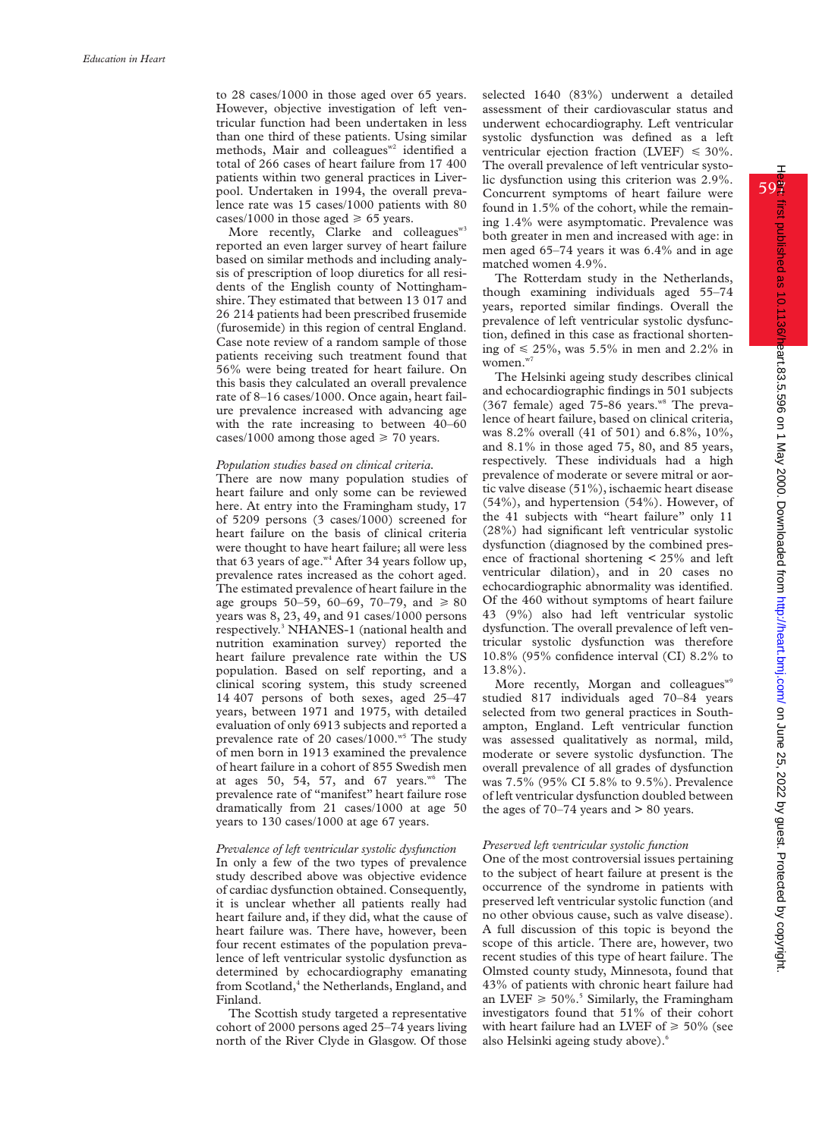597

to 28 cases/1000 in those aged over 65 years. However, objective investigation of left ventricular function had been undertaken in less than one third of these patients. Using similar methods, Mair and colleagues<sup>w2</sup> identified a total of 266 cases of heart failure from 17 400 patients within two general practices in Liverpool. Undertaken in 1994, the overall prevalence rate was 15 cases/1000 patients with 80 cases/1000 in those aged  $\geq 65$  years.

More recently, Clarke and colleagues $^{w3}$ reported an even larger survey of heart failure based on similar methods and including analysis of prescription of loop diuretics for all residents of the English county of Nottinghamshire. They estimated that between 13 017 and 26 214 patients had been prescribed frusemide (furosemide) in this region of central England. Case note review of a random sample of those patients receiving such treatment found that 56% were being treated for heart failure. On this basis they calculated an overall prevalence rate of 8–16 cases/1000. Once again, heart failure prevalence increased with advancing age with the rate increasing to between  $40-60$ cases/1000 among those aged  $\geq 70$  years.

#### *Population studies based on clinical criteria.*

There are now many population studies of heart failure and only some can be reviewed here. At entry into the Framingham study, 17 of 5209 persons (3 cases/1000) screened for heart failure on the basis of clinical criteria were thought to have heart failure; all were less that 63 years of age.<sup>w4</sup> After 34 years follow up, prevalence rates increased as the cohort aged. The estimated prevalence of heart failure in the age groups 50–59, 60–69, 70–79, and  $\geq 80$ years was 8, 23, 49, and 91 cases/1000 persons respectively.<sup>3</sup> NHANES-1 (national health and nutrition examination survey) reported the heart failure prevalence rate within the US population. Based on self reporting, and a clinical scoring system, this study screened 14 407 persons of both sexes, aged 25–47 years, between 1971 and 1975, with detailed evaluation of only 6913 subjects and reported a prevalence rate of 20 cases/1000.<sup>w5</sup> The study of men born in 1913 examined the prevalence of heart failure in a cohort of 855 Swedish men at ages 50, 54, 57, and 67 years.<sup>w6</sup> The prevalence rate of "manifest" heart failure rose dramatically from 21 cases/1000 at age 50 years to 130 cases/1000 at age 67 years.

#### *Prevalence of left ventricular systolic dysfunction*

In only a few of the two types of prevalence study described above was objective evidence of cardiac dysfunction obtained. Consequently, it is unclear whether all patients really had heart failure and, if they did, what the cause of heart failure was. There have, however, been four recent estimates of the population prevalence of left ventricular systolic dysfunction as determined by echocardiography emanating from Scotland,<sup>4</sup> the Netherlands, England, and Finland.

The Scottish study targeted a representative cohort of 2000 persons aged 25–74 years living north of the River Clyde in Glasgow. Of those

selected 1640 (83%) underwent a detailed assessment of their cardiovascular status and underwent echocardiography. Left ventricular systolic dysfunction was defined as a left ventricular ejection fraction (LVEF)  $\leq 30\%$ . The overall prevalence of left ventricular systolic dysfunction using this criterion was 2.9%. Concurrent symptoms of heart failure were found in 1.5% of the cohort, while the remaining 1.4% were asymptomatic. Prevalence was both greater in men and increased with age: in men aged 65–74 years it was 6.4% and in age matched women 4.9%.

The Rotterdam study in the Netherlands, though examining individuals aged 55–74 years, reported similar findings. Overall the prevalence of left ventricular systolic dysfunction, defined in this case as fractional shortening of  $\leq 25\%$ , was 5.5% in men and 2.2% in women.<sup>w7</sup>

The Helsinki ageing study describes clinical and echocardiographic findings in 501 subjects (367 female) aged 75-86 years. $w8$  The prevalence of heart failure, based on clinical criteria, was 8.2% overall (41 of 501) and 6.8%, 10%, and 8.1% in those aged 75, 80, and 85 years, respectively. These individuals had a high prevalence of moderate or severe mitral or aortic valve disease (51%), ischaemic heart disease (54%), and hypertension (54%). However, of the 41 subjects with "heart failure" only 11 (28%) had significant left ventricular systolic dysfunction (diagnosed by the combined presence of fractional shortening < 25% and left ventricular dilation), and in 20 cases no echocardiographic abnormality was identified. Of the 460 without symptoms of heart failure 43 (9%) also had left ventricular systolic dysfunction. The overall prevalence of left ventricular systolic dysfunction was therefore 10.8% (95% confidence interval (CI) 8.2% to 13.8%).

More recently, Morgan and colleagues<sup>w9</sup> studied 817 individuals aged 70–84 years selected from two general practices in Southampton, England. Left ventricular function was assessed qualitatively as normal, mild, moderate or severe systolic dysfunction. The overall prevalence of all grades of dysfunction was 7.5% (95% CI 5.8% to 9.5%). Prevalence of left ventricular dysfunction doubled between the ages of  $70-74$  years and  $> 80$  years.

#### *Preserved left ventricular systolic function*

One of the most controversial issues pertaining to the subject of heart failure at present is the occurrence of the syndrome in patients with preserved left ventricular systolic function (and no other obvious cause, such as valve disease). A full discussion of this topic is beyond the scope of this article. There are, however, two recent studies of this type of heart failure. The Olmsted county study, Minnesota, found that 43% of patients with chronic heart failure had an LVEF  $\geq 50\%$ .<sup>5</sup> Similarly, the Framingham investigators found that 51% of their cohort with heart failure had an LVEF of  $\geq 50\%$  (see also Helsinki ageing study above).<sup>6</sup>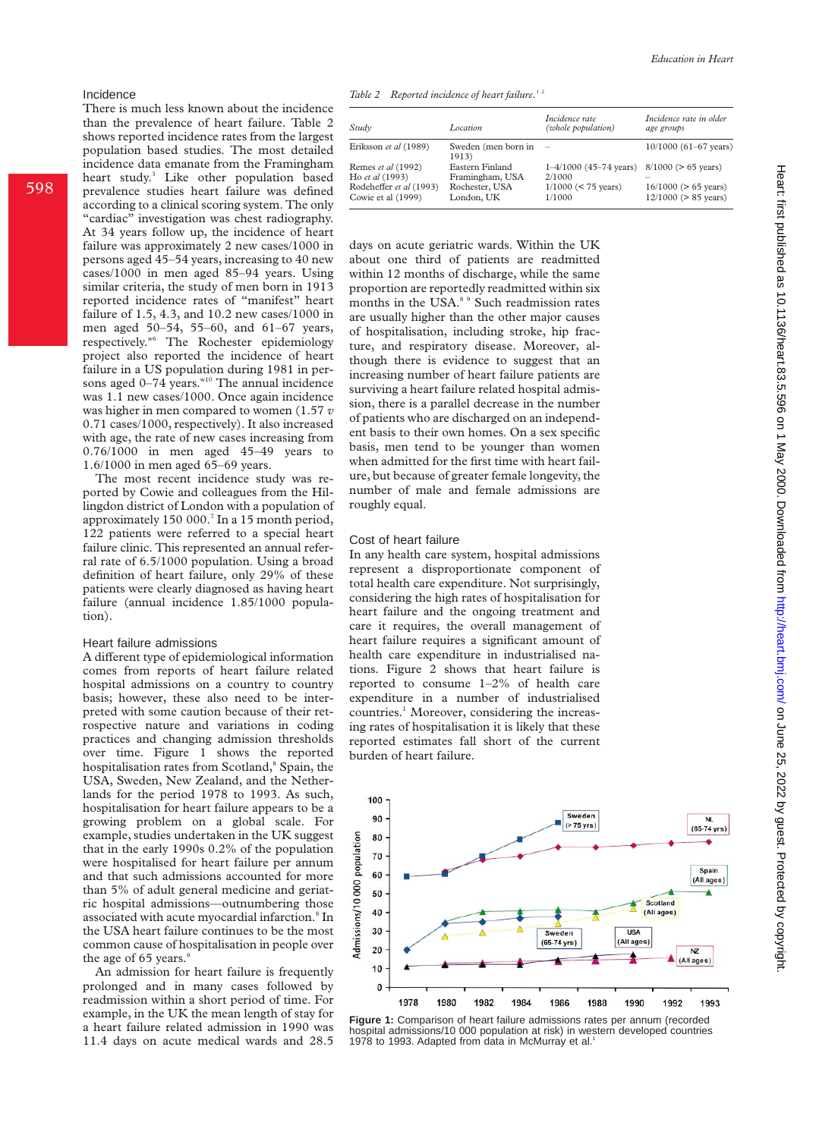598

There is much less known about the incidence than the prevalence of heart failure. Table 2 shows reported incidence rates from the largest population based studies. The most detailed incidence data emanate from the Framingham heart study.<sup>3</sup> Like other population based prevalence studies heart failure was defined according to a clinical scoring system. The only "cardiac" investigation was chest radiography. At 34 years follow up, the incidence of heart failure was approximately 2 new cases/1000 in persons aged 45–54 years, increasing to 40 new cases/1000 in men aged 85–94 years. Using similar criteria, the study of men born in 1913 reported incidence rates of "manifest" heart failure of 1.5, 4.3, and 10.2 new cases/1000 in men aged 50–54, 55–60, and 61–67 years, respectively.<sup>w6</sup> The Rochester epidemiology project also reported the incidence of heart failure in a US population during 1981 in persons aged  $0-74$  years.<sup>w10</sup> The annual incidence was 1.1 new cases/1000. Once again incidence was higher in men compared to women (1.57 *v* 0.71 cases/1000, respectively). It also increased with age, the rate of new cases increasing from 0.76/1000 in men aged 45–49 years to 1.6/1000 in men aged 65–69 years.

The most recent incidence study was reported by Cowie and colleagues from the Hillingdon district of London with a population of approximately  $150,000$ .<sup>7</sup> In a 15 month period, 122 patients were referred to a special heart failure clinic. This represented an annual referral rate of 6.5/1000 population. Using a broad definition of heart failure, only 29% of these patients were clearly diagnosed as having heart failure (annual incidence 1.85/1000 population).

### Heart failure admissions

A different type of epidemiological information comes from reports of heart failure related hospital admissions on a country to country basis; however, these also need to be interpreted with some caution because of their retrospective nature and variations in coding practices and changing admission thresholds over time. Figure 1 shows the reported hospitalisation rates from Scotland,<sup>8</sup> Spain, the USA, Sweden, New Zealand, and the Netherlands for the period 1978 to 1993. As such, hospitalisation for heart failure appears to be a growing problem on a global scale. For example, studies undertaken in the UK suggest that in the early 1990s 0.2% of the population were hospitalised for heart failure per annum and that such admissions accounted for more than 5% of adult general medicine and geriatric hospital admissions—outnumbering those associated with acute myocardial infarction.<sup>8</sup> In the USA heart failure continues to be the most common cause of hospitalisation in people over the age of 65 years. $9$ 

An admission for heart failure is frequently prolonged and in many cases followed by readmission within a short period of time. For example, in the UK the mean length of stay for a heart failure related admission in 1990 was 11.4 days on acute medical wards and 28.5

*Table 2 Reported incidence of heart failure.1 2*

| Study                                                                                  | Location                                                           | Incidence rate<br>(whole population)                                    | Incidence rate in older<br>age groups                                           |
|----------------------------------------------------------------------------------------|--------------------------------------------------------------------|-------------------------------------------------------------------------|---------------------------------------------------------------------------------|
| Eriksson et al (1989)                                                                  | Sweden (men born in<br>1913)                                       | $\overline{\phantom{a}}$                                                | $10/1000$ (61–67 years)                                                         |
| Remes et al (1992)<br>Ho et al (1993)<br>Rodeheffer et al (1993)<br>Cowie et al (1999) | Eastern Finland<br>Framingham, USA<br>Rochester, USA<br>London, UK | $1 - 4/1000$ (45-74 years)<br>2/1000<br>$1/1000$ (< 75 years)<br>1/1000 | $8/1000$ ( $> 65$ years)<br>$16/1000$ ( $> 65$ years)<br>$12/1000$ (> 85 years) |

days on acute geriatric wards. Within the UK about one third of patients are readmitted within 12 months of discharge, while the same proportion are reportedly readmitted within six months in the USA.<sup>8</sup> <sup>9</sup> Such readmission rates are usually higher than the other major causes of hospitalisation, including stroke, hip fracture, and respiratory disease. Moreover, although there is evidence to suggest that an increasing number of heart failure patients are surviving a heart failure related hospital admission, there is a parallel decrease in the number of patients who are discharged on an independent basis to their own homes. On a sex specific basis, men tend to be younger than women when admitted for the first time with heart failure, but because of greater female longevity, the number of male and female admissions are roughly equal.

#### Cost of heart failure

In any health care system, hospital admissions represent a disproportionate component of total health care expenditure. Not surprisingly, considering the high rates of hospitalisation for heart failure and the ongoing treatment and care it requires, the overall management of heart failure requires a significant amount of health care expenditure in industrialised nations. Figure 2 shows that heart failure is reported to consume 1–2% of health care expenditure in a number of industrialised countries.<sup>1</sup> Moreover, considering the increasing rates of hospitalisation it is likely that these reported estimates fall short of the current burden of heart failure.



**Figure 1:** Comparison of heart failure admissions rates per annum (recorded hospital admissions/10 000 population at risk) in western developed countries 1978 to 1993. Adapted from data in McMurray et al.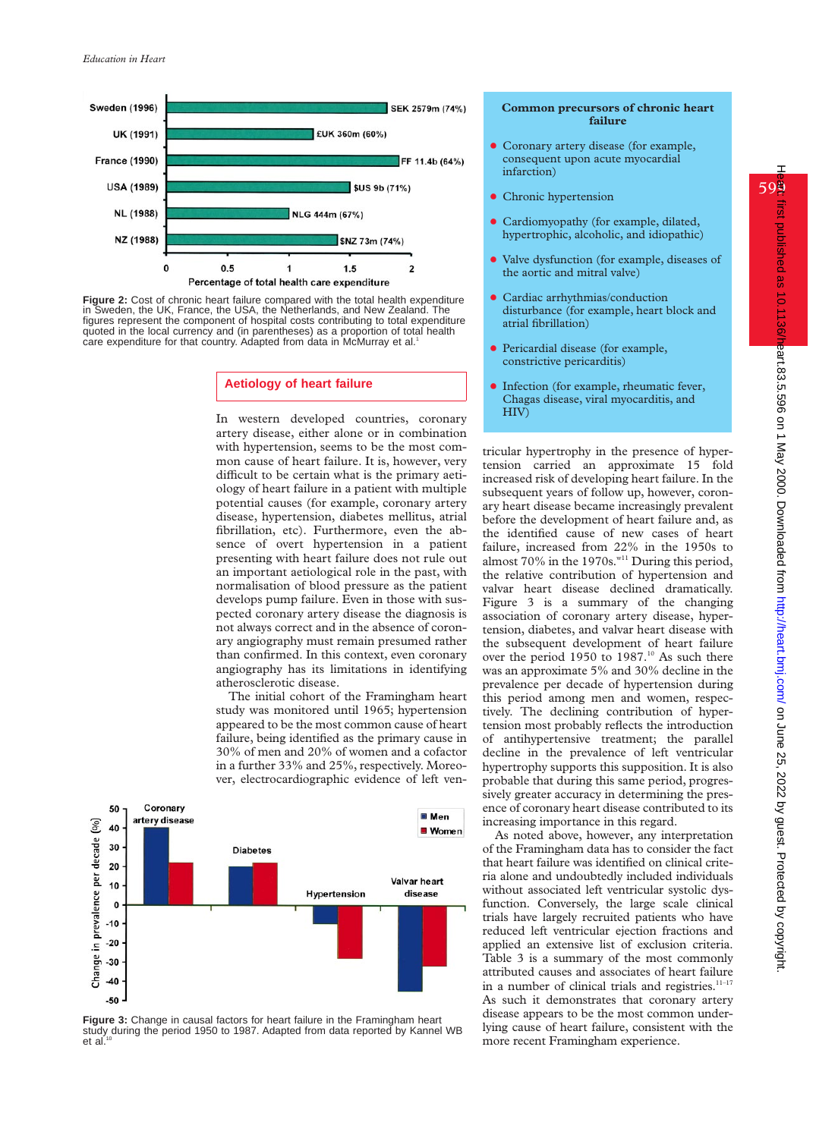

**Figure 2:** Cost of chronic heart failure compared with the total health expenditure in Sweden, the UK, France, the USA, the Netherlands, and New Zealand. The figures represent the component of hospital costs contributing to total expenditure quoted in the local currency and (in parentheses) as a proportion of total health care expenditure for that country. Adapted from data in McMurray et al.<sup>1</sup>

**Aetiology of heart failure**

In western developed countries, coronary artery disease, either alone or in combination with hypertension, seems to be the most common cause of heart failure. It is, however, very difficult to be certain what is the primary aetiology of heart failure in a patient with multiple potential causes (for example, coronary artery disease, hypertension, diabetes mellitus, atrial fibrillation, etc). Furthermore, even the absence of overt hypertension in a patient presenting with heart failure does not rule out an important aetiological role in the past, with normalisation of blood pressure as the patient develops pump failure. Even in those with suspected coronary artery disease the diagnosis is not always correct and in the absence of coronary angiography must remain presumed rather than confirmed. In this context, even coronary angiography has its limitations in identifying atherosclerotic disease.

The initial cohort of the Framingham heart study was monitored until 1965; hypertension appeared to be the most common cause of heart failure, being identified as the primary cause in 30% of men and 20% of women and a cofactor in a further 33% and 25%, respectively. Moreover, electrocardiographic evidence of left ven-



**Figure 3:** Change in causal factors for heart failure in the Framingham heart<br>study during the period 1950 to 1987. Adapted from data reported by Kannel WB<br>et al.<sup>10</sup>

#### **Common precursors of chronic heart failure**

- Coronary artery disease (for example, consequent upon acute myocardial infarction)
- Chronic hypertension
- Cardiomyopathy (for example, dilated, hypertrophic, alcoholic, and idiopathic)
- Valve dysfunction (for example, diseases of the aortic and mitral valve)
- Cardiac arrhythmias/conduction disturbance (for example, heart block and atrial fibrillation)
- Pericardial disease (for example, constrictive pericarditis)
- Infection (for example, rheumatic fever, Chagas disease, viral myocarditis, and HIV)

tricular hypertrophy in the presence of hypertension carried an approximate 15 fold increased risk of developing heart failure. In the subsequent years of follow up, however, coronary heart disease became increasingly prevalent before the development of heart failure and, as the identified cause of new cases of heart failure, increased from 22% in the 1950s to almost  $70\%$  in the 1970s.<sup>w11</sup> During this period, the relative contribution of hypertension and valvar heart disease declined dramatically. Figure 3 is a summary of the changing association of coronary artery disease, hypertension, diabetes, and valvar heart disease with the subsequent development of heart failure over the period 1950 to 1987.<sup>10</sup> As such there was an approximate 5% and 30% decline in the prevalence per decade of hypertension during this period among men and women, respectively. The declining contribution of hypertension most probably reflects the introduction of antihypertensive treatment; the parallel decline in the prevalence of left ventricular hypertrophy supports this supposition. It is also probable that during this same period, progressively greater accuracy in determining the presence of coronary heart disease contributed to its increasing importance in this regard.

As noted above, however, any interpretation of the Framingham data has to consider the fact that heart failure was identified on clinical criteria alone and undoubtedly included individuals without associated left ventricular systolic dysfunction. Conversely, the large scale clinical trials have largely recruited patients who have reduced left ventricular ejection fractions and applied an extensive list of exclusion criteria. Table 3 is a summary of the most commonly attributed causes and associates of heart failure in a number of clinical trials and registries. $11-17$ As such it demonstrates that coronary artery disease appears to be the most common underlying cause of heart failure, consistent with the more recent Framingham experience.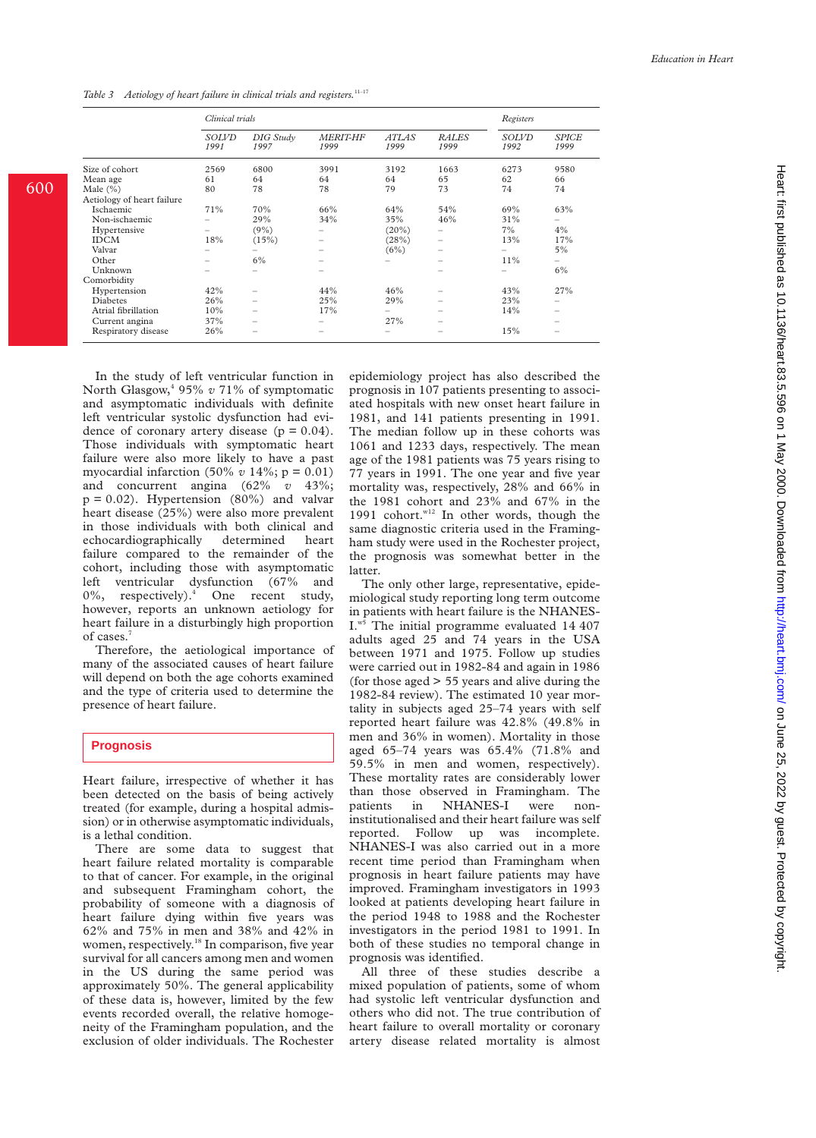*Table 3 Aetiology of heart failure in clinical trials and registers.*11–17

|                            | Clinical trials      |                          |                         |               |                          | Registers            |                      |
|----------------------------|----------------------|--------------------------|-------------------------|---------------|--------------------------|----------------------|----------------------|
|                            | <b>SOLVD</b><br>1991 | <b>DIG</b> Study<br>1997 | <b>MERIT-HF</b><br>1999 | ATLAS<br>1999 | <b>RALES</b><br>1999     | <b>SOLVD</b><br>1992 | <b>SPICE</b><br>1999 |
| Size of cohort             | 2569                 | 6800                     | 3991                    | 3192          | 1663                     | 6273                 | 9580                 |
| Mean age                   | 61                   | 64                       | 64                      | 64            | 65                       | 62                   | 66                   |
| Male $(\%)$                | 80                   | 78                       | 78                      | 79            | 73                       | 74                   | 74                   |
| Aetiology of heart failure |                      |                          |                         |               |                          |                      |                      |
| Ischaemic                  | 71%                  | 70%                      | 66%                     | 64%           | 54%                      | 69%                  | 63%                  |
| Non-ischaemic              |                      | 29%                      | 34%                     | 35%           | 46%                      | 31%                  | -                    |
| Hypertensive               |                      | (9%)                     |                         | $(20\%)$      | $\overline{\phantom{0}}$ | 7%                   | $4\%$                |
| <b>IDCM</b>                | 18%                  | (15%)                    |                         | (28%)         |                          | 13%                  | 17%                  |
| Valvar                     |                      | -                        |                         | (6%)          |                          |                      | 5%                   |
| Other                      |                      | 6%                       |                         |               |                          | 11%                  | -                    |
| Unknown                    |                      |                          |                         |               |                          |                      | 6%                   |
| Comorbidity                |                      |                          |                         |               |                          |                      |                      |
| Hypertension               | 42%                  |                          | 44%                     | 46%           |                          | 43%                  | 27%                  |
| <b>Diabetes</b>            | 26%                  | -                        | 25%                     | 29%           |                          | 23%                  |                      |
| Atrial fibrillation        | 10%                  | -                        | 17%                     | -             |                          | 14%                  |                      |
| Current angina             | 37%                  |                          |                         | 27%           |                          |                      |                      |
| Respiratory disease        | 26%                  |                          |                         |               |                          | 15%                  |                      |

In the study of left ventricular function in North Glasgow, <sup>4</sup> 95% *v* 71% of symptomatic and asymptomatic individuals with definite left ventricular systolic dysfunction had evidence of coronary artery disease  $(p = 0.04)$ . Those individuals with symptomatic heart failure were also more likely to have a past myocardial infarction (50% *v* 14%; p = 0.01) and concurrent angina (62% *v* 43%;  $p = 0.02$ ). Hypertension (80%) and valvar heart disease (25%) were also more prevalent in those individuals with both clinical and echocardiographically determined heart failure compared to the remainder of the cohort, including those with asymptomatic left ventricular dysfunction (67% and  $0\%$ , respectively).<sup>4</sup> One recent study, however, reports an unknown aetiology for heart failure in a disturbingly high proportion of cases. 7

Therefore, the aetiological importance of many of the associated causes of heart failure will depend on both the age cohorts examined and the type of criteria used to determine the presence of heart failure.

#### **Prognosis**

Heart failure, irrespective of whether it has been detected on the basis of being actively treated (for example, during a hospital admission) or in otherwise asymptomatic individuals, is a lethal condition.

There are some data to suggest that heart failure related mortality is comparable to that of cancer. For example, in the original and subsequent Framingham cohort, the probability of someone with a diagnosis of heart failure dying within five years was 62% and 75% in men and 38% and 42% in women, respectively.<sup>18</sup> In comparison, five year survival for all cancers among men and women in the US during the same period was approximately 50%. The general applicability of these data is, however, limited by the few events recorded overall, the relative homogeneity of the Framingham population, and the exclusion of older individuals. The Rochester epidemiology project has also described the prognosis in 107 patients presenting to associated hospitals with new onset heart failure in 1981, and 141 patients presenting in 1991. The median follow up in these cohorts was 1061 and 1233 days, respectively. The mean age of the 1981 patients was 75 years rising to 77 years in 1991. The one year and five year mortality was, respectively, 28% and 66% in the 1981 cohort and 23% and 67% in the 1991 cohort. $W^{12}$  In other words, though the same diagnostic criteria used in the Framingham study were used in the Rochester project, the prognosis was somewhat better in the latter.

The only other large, representative, epidemiological study reporting long term outcome in patients with heart failure is the NHANES-I.<sup>w5</sup> The initial programme evaluated 14 407 adults aged 25 and 74 years in the USA between 1971 and 1975. Follow up studies were carried out in 1982-84 and again in 1986 (for those aged > 55 years and alive during the 1982-84 review). The estimated 10 year mortality in subjects aged 25–74 years with self reported heart failure was 42.8% (49.8% in men and 36% in women). Mortality in those aged 65–74 years was 65.4% (71.8% and 59.5% in men and women, respectively). These mortality rates are considerably lower than those observed in Framingham. The in NHANES-I were noninstitutionalised and their heart failure was self reported. Follow up was incomplete. NHANES-I was also carried out in a more recent time period than Framingham when prognosis in heart failure patients may have improved. Framingham investigators in 1993 looked at patients developing heart failure in the period 1948 to 1988 and the Rochester investigators in the period 1981 to 1991. In both of these studies no temporal change in prognosis was identified.

All three of these studies describe a mixed population of patients, some of whom had systolic left ventricular dysfunction and others who did not. The true contribution of heart failure to overall mortality or coronary artery disease related mortality is almost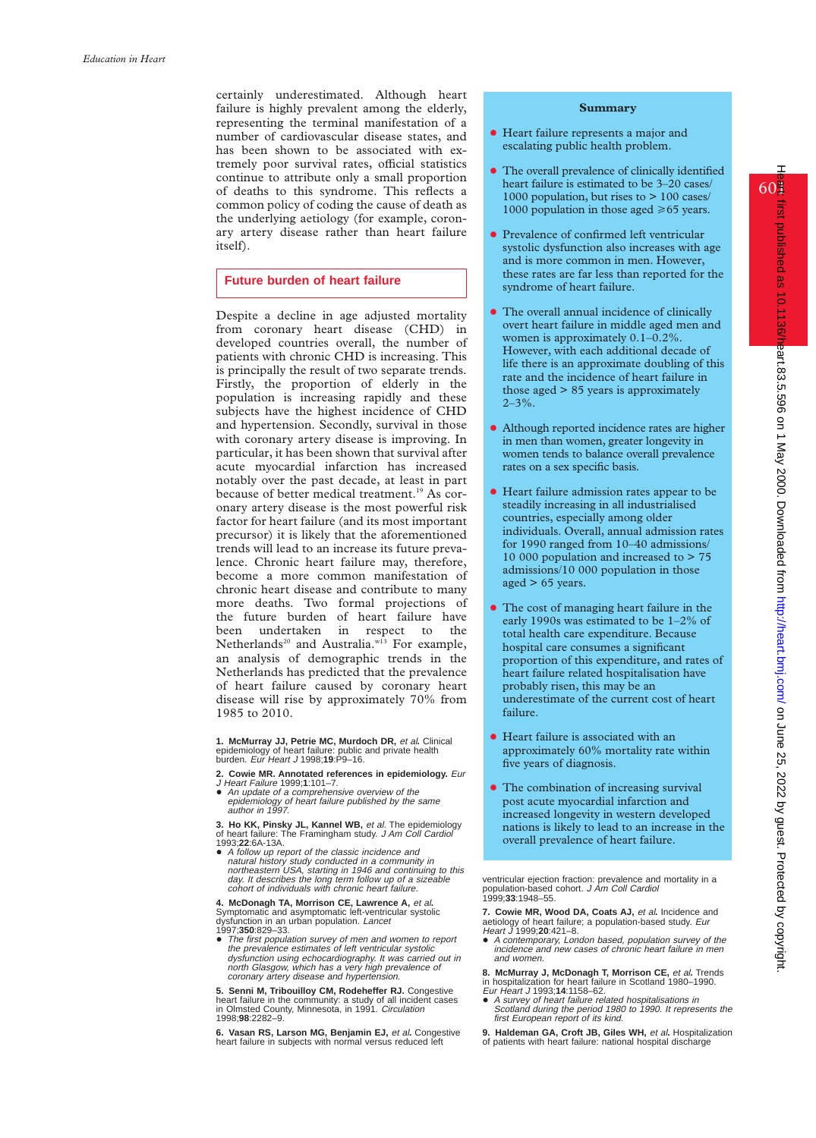certainly underestimated. Although heart failure is highly prevalent among the elderly, representing the terminal manifestation of a number of cardiovascular disease states, and has been shown to be associated with extremely poor survival rates, official statistics continue to attribute only a small proportion of deaths to this syndrome. This reflects a common policy of coding the cause of death as the underlying aetiology (for example, coronary artery disease rather than heart failure itself).

## **Future burden of heart failure**

Despite a decline in age adjusted mortality from coronary heart disease (CHD) in developed countries overall, the number of patients with chronic CHD is increasing. This is principally the result of two separate trends. Firstly, the proportion of elderly in the population is increasing rapidly and these subjects have the highest incidence of CHD and hypertension. Secondly, survival in those with coronary artery disease is improving. In particular, it has been shown that survival after acute myocardial infarction has increased notably over the past decade, at least in part because of better medical treatment.<sup>19</sup> As coronary artery disease is the most powerful risk factor for heart failure (and its most important precursor) it is likely that the aforementioned trends will lead to an increase its future prevalence. Chronic heart failure may, therefore, become a more common manifestation of chronic heart disease and contribute to many more deaths. Two formal projections of the future burden of heart failure have been undertaken in respect to the Netherlands<sup>20</sup> and Australia.<sup>w13</sup> For example, an analysis of demographic trends in the Netherlands has predicted that the prevalence of heart failure caused by coronary heart disease will rise by approximately 70% from 1985 to 2010.

**1. McMurray JJ, Petrie MC, Murdoch DR,** et al**.** Clinical epidemiology of heart failure: public and private health burden. Eur Heart J 1998;**19**:P9–16.

**2. Cowie MR. Annotated references in epidemiology.** Eur

- J Heart Failure 1999;**1**:101–7. + An update of <sup>a</sup> comprehensive overview of the epidemiology of heart failure published by the same author in 1997.
- **3. Ho KK, Pinsky JL, Kannel WB,** et al. The epidemiology of heart failure: The Framingham study. J Am Coll Cardiol 1993;**22**:6A-13A.
- A follow up report of the classic incidence and natural history study conducted in <sup>a</sup> community in northeastern USA, starting in 1946 and continuing to this day. It describes the long term follow up of <sup>a</sup> sizeable cohort of individuals with chronic heart failure.

**4. McDonagh TA, Morrison CE, Lawrence A,** et al**.** Symptomatic and asymptomatic left-ventricular systolic dysfunction in an urban population. Lancet 1997;**350**:829–33.

• The first population survey of men and women to report the prevalence estimates of left ventricular systolic dysfunction using echocardiography. It was carried out in north Glasgow, which has <sup>a</sup> very high prevalence of coronary artery disease and hypertension.

**5. Senni M, Tribouilloy CM, Rodeheffer RJ.** Congestive heart failure in the community: a study of all incident cases<br>in Olmsted County, Minnesota, in 1991. *Circulation* 1998;**98**:2282–9.

**6. Vasan RS, Larson MG, Benjamin EJ,** et al**.** Congestive heart failure in subjects with normal versus reduced left

## **Summary**

- **Heart failure represents a major and** escalating public health problem.
- $\bullet$  The overall prevalence of clinically identified heart failure is estimated to be 3–20 cases/ 1000 population, but rises to > 100 cases/ 1000 population in those aged  $\geq 65$  years.
- Prevalence of confirmed left ventricular systolic dysfunction also increases with age and is more common in men. However, these rates are far less than reported for the syndrome of heart failure.
- The overall annual incidence of clinically overt heart failure in middle aged men and women is approximately 0.1–0.2%. However, with each additional decade of life there is an approximate doubling of this rate and the incidence of heart failure in those aged > 85 years is approximately  $2 - 3\%$ .
- Although reported incidence rates are higher in men than women, greater longevity in women tends to balance overall prevalence rates on a sex specific basis.
- Heart failure admission rates appear to be steadily increasing in all industrialised countries, especially among older individuals. Overall, annual admission rates for 1990 ranged from 10–40 admissions/ 10 000 population and increased to > 75 admissions/10 000 population in those aged  $> 65$  years.
- The cost of managing heart failure in the early 1990s was estimated to be 1–2% of total health care expenditure. Because hospital care consumes a significant proportion of this expenditure, and rates of heart failure related hospitalisation have probably risen, this may be an underestimate of the current cost of heart failure.
- Heart failure is associated with an approximately 60% mortality rate within five years of diagnosis.
- The combination of increasing survival post acute myocardial infarction and increased longevity in western developed nations is likely to lead to an increase in the overall prevalence of heart failure.

ventricular ejection fraction: prevalence and mortality in a population-based cohort. J Am Coll Cardiol 1999;**33**:1948–55.

**7. Cowie MR, Wood DA, Coats AJ,** et al**.** Incidence and aetiology of heart failure; a population-based study. Eur Heart J 1999;**20**:421–8.

 $\bullet$  A contemporary, London based, population survey of the incidence and new cases of chronic heart failure in men and women.

**8. McMurray J, McDonagh T, Morrison CE,** et al**.** Trends in hospitalization for heart failure in Scotland 1980–1990. Eur Heart J 1993;**14**:1158–62.

● A survey of heart failure related hospitalisations in Scotland during the period 1980 to 1990. It represents the first European report of its kind.

**9. Haldeman GA, Croft JB, Giles WH,** et al**.** Hospitalization of patients with heart failure: national hospital discharge